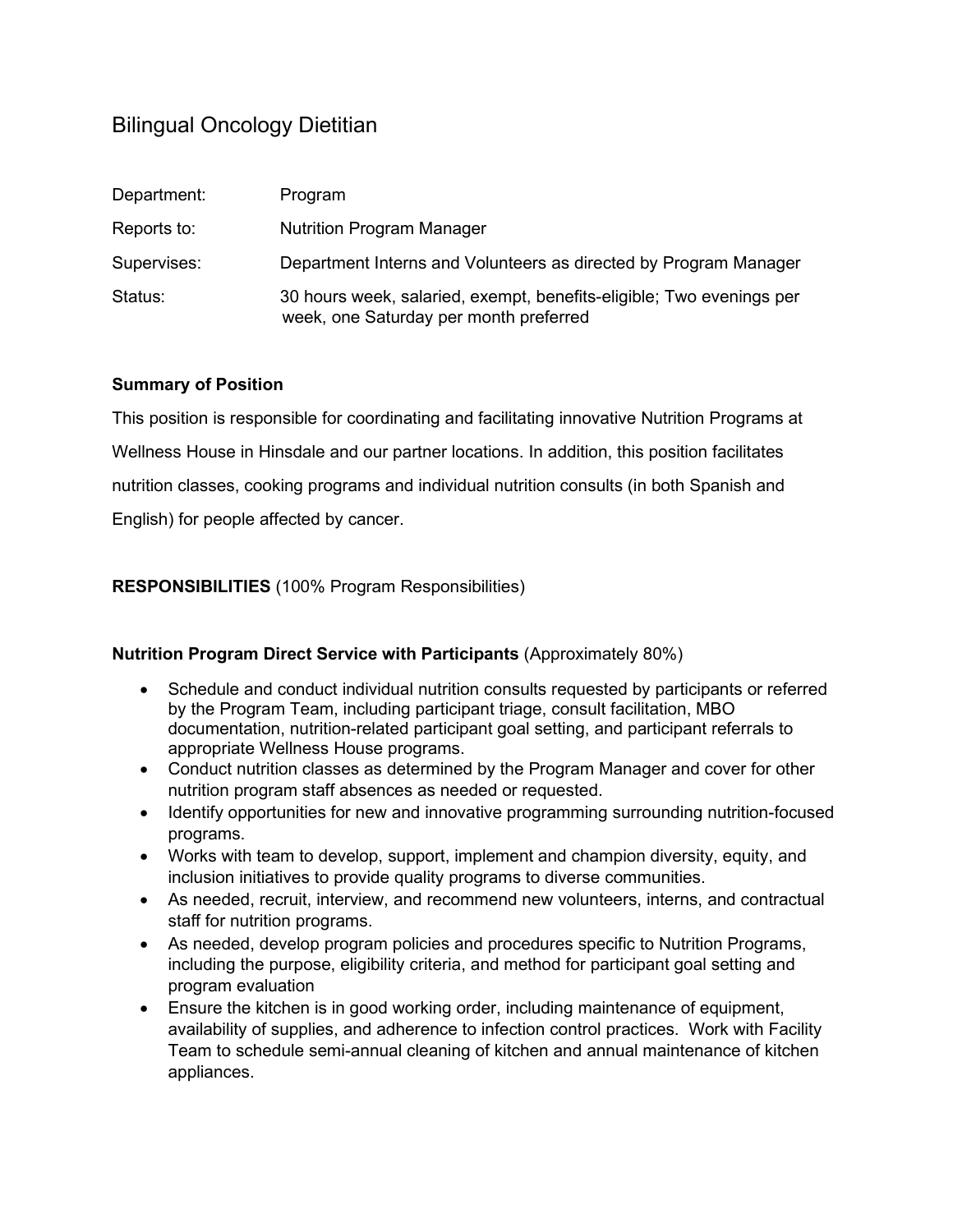# Bilingual Oncology Dietitian

| Department: | Program                                                                                                        |
|-------------|----------------------------------------------------------------------------------------------------------------|
| Reports to: | <b>Nutrition Program Manager</b>                                                                               |
| Supervises: | Department Interns and Volunteers as directed by Program Manager                                               |
| Status:     | 30 hours week, salaried, exempt, benefits-eligible; Two evenings per<br>week, one Saturday per month preferred |

#### **Summary of Position**

This position is responsible for coordinating and facilitating innovative Nutrition Programs at Wellness House in Hinsdale and our partner locations. In addition, this position facilitates nutrition classes, cooking programs and individual nutrition consults (in both Spanish and English) for people affected by cancer.

**RESPONSIBILITIES** (100% Program Responsibilities)

#### **Nutrition Program Direct Service with Participants** (Approximately 80%)

- Schedule and conduct individual nutrition consults requested by participants or referred by the Program Team, including participant triage, consult facilitation, MBO documentation, nutrition-related participant goal setting, and participant referrals to appropriate Wellness House programs.
- Conduct nutrition classes as determined by the Program Manager and cover for other nutrition program staff absences as needed or requested.
- Identify opportunities for new and innovative programming surrounding nutrition-focused programs.
- Works with team to develop, support, implement and champion diversity, equity, and inclusion initiatives to provide quality programs to diverse communities.
- As needed, recruit, interview, and recommend new volunteers, interns, and contractual staff for nutrition programs.
- As needed, develop program policies and procedures specific to Nutrition Programs, including the purpose, eligibility criteria, and method for participant goal setting and program evaluation
- Ensure the kitchen is in good working order, including maintenance of equipment, availability of supplies, and adherence to infection control practices. Work with Facility Team to schedule semi-annual cleaning of kitchen and annual maintenance of kitchen appliances.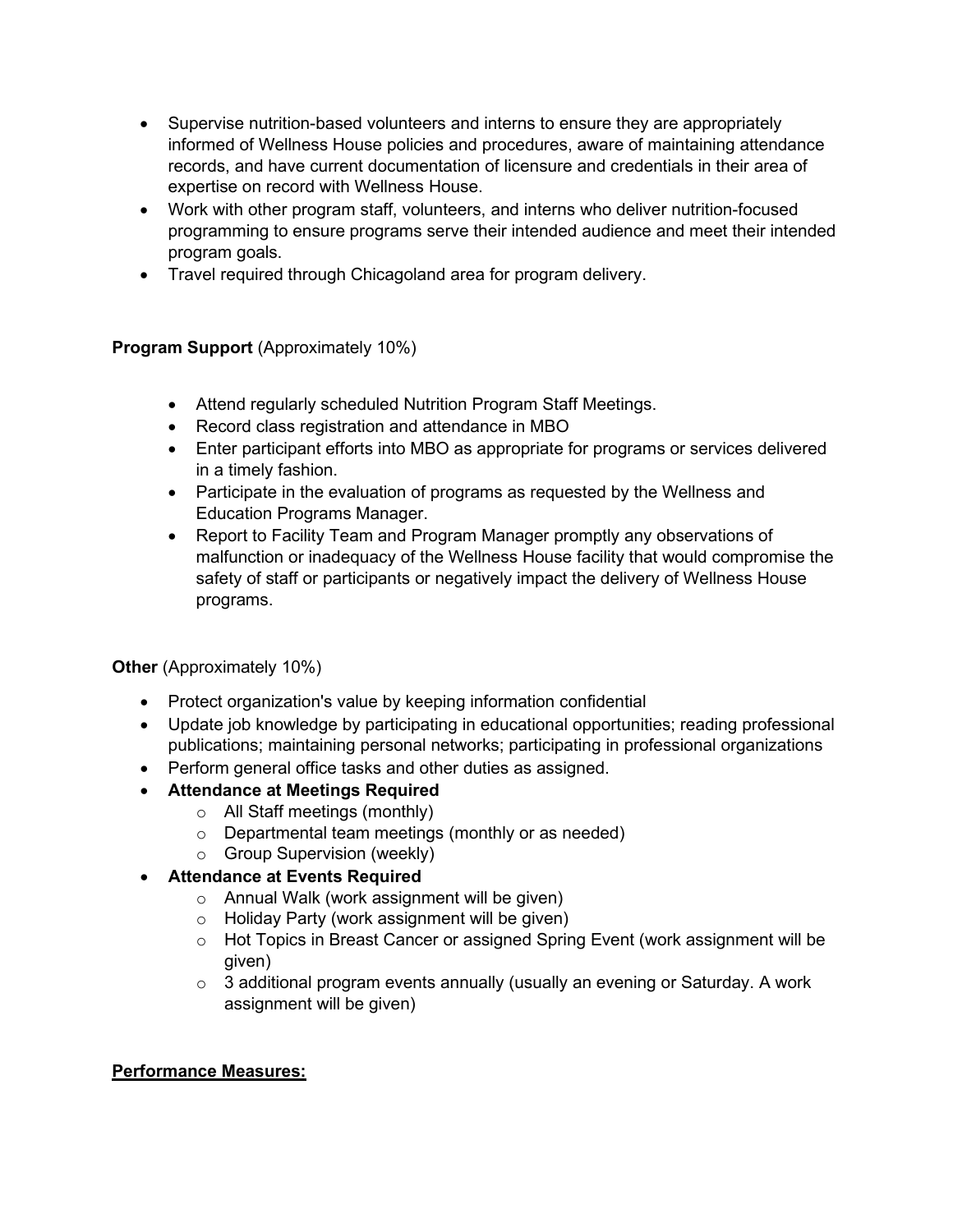- Supervise nutrition-based volunteers and interns to ensure they are appropriately informed of Wellness House policies and procedures, aware of maintaining attendance records, and have current documentation of licensure and credentials in their area of expertise on record with Wellness House.
- Work with other program staff, volunteers, and interns who deliver nutrition-focused programming to ensure programs serve their intended audience and meet their intended program goals.
- Travel required through Chicagoland area for program delivery.

## **Program Support** (Approximately 10%)

- Attend regularly scheduled Nutrition Program Staff Meetings.
- Record class registration and attendance in MBO
- Enter participant efforts into MBO as appropriate for programs or services delivered in a timely fashion.
- Participate in the evaluation of programs as requested by the Wellness and Education Programs Manager.
- Report to Facility Team and Program Manager promptly any observations of malfunction or inadequacy of the Wellness House facility that would compromise the safety of staff or participants or negatively impact the delivery of Wellness House programs.

### **Other** (Approximately 10%)

- Protect organization's value by keeping information confidential
- Update job knowledge by participating in educational opportunities; reading professional publications; maintaining personal networks; participating in professional organizations
- Perform general office tasks and other duties as assigned.
- **Attendance at Meetings Required**
	- o All Staff meetings (monthly)
		- o Departmental team meetings (monthly or as needed)
		- o Group Supervision (weekly)

# • **Attendance at Events Required**

- o Annual Walk (work assignment will be given)
- o Holiday Party (work assignment will be given)
- o Hot Topics in Breast Cancer or assigned Spring Event (work assignment will be given)
- $\circ$  3 additional program events annually (usually an evening or Saturday. A work assignment will be given)

### **Performance Measures:**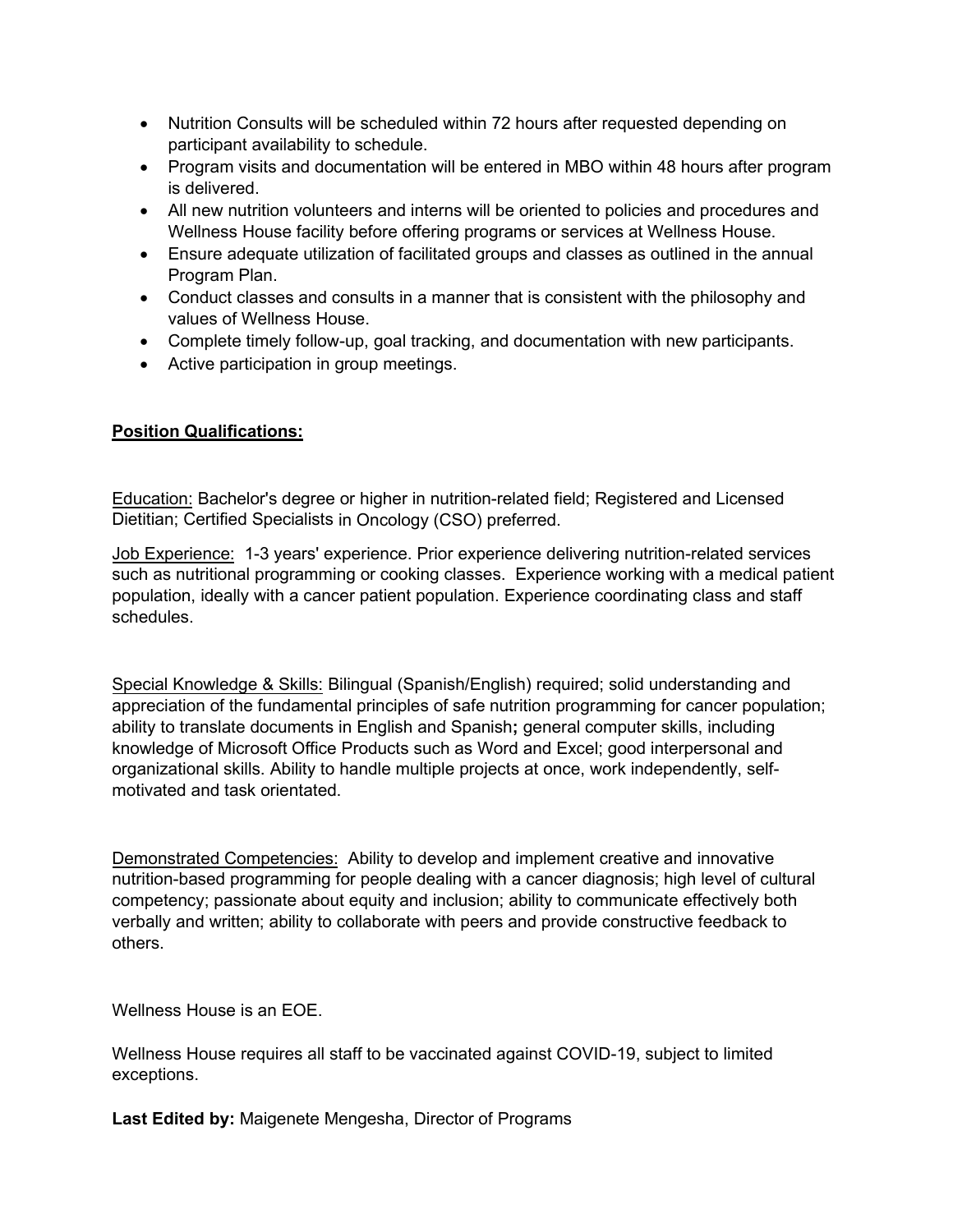- Nutrition Consults will be scheduled within 72 hours after requested depending on participant availability to schedule.
- Program visits and documentation will be entered in MBO within 48 hours after program is delivered.
- All new nutrition volunteers and interns will be oriented to policies and procedures and Wellness House facility before offering programs or services at Wellness House.
- Ensure adequate utilization of facilitated groups and classes as outlined in the annual Program Plan.
- Conduct classes and consults in a manner that is consistent with the philosophy and values of Wellness House.
- Complete timely follow-up, goal tracking, and documentation with new participants.
- Active participation in group meetings.

#### **Position Qualifications:**

Education: Bachelor's degree or higher in nutrition-related field; Registered and Licensed Dietitian; Certified Specialists in Oncology (CSO) preferred.

Job Experience: 1-3 years' experience. Prior experience delivering nutrition-related services such as nutritional programming or cooking classes. Experience working with a medical patient population, ideally with a cancer patient population. Experience coordinating class and staff schedules.

Special Knowledge & Skills: Bilingual (Spanish/English) required; solid understanding and appreciation of the fundamental principles of safe nutrition programming for cancer population; ability to translate documents in English and Spanish**;** general computer skills, including knowledge of Microsoft Office Products such as Word and Excel; good interpersonal and organizational skills. Ability to handle multiple projects at once, work independently, selfmotivated and task orientated.

Demonstrated Competencies: Ability to develop and implement creative and innovative nutrition-based programming for people dealing with a cancer diagnosis; high level of cultural competency; passionate about equity and inclusion; ability to communicate effectively both verbally and written; ability to collaborate with peers and provide constructive feedback to others.

Wellness House is an EOE.

Wellness House requires all staff to be vaccinated against COVID-19, subject to limited exceptions.

**Last Edited by:** Maigenete Mengesha, Director of Programs